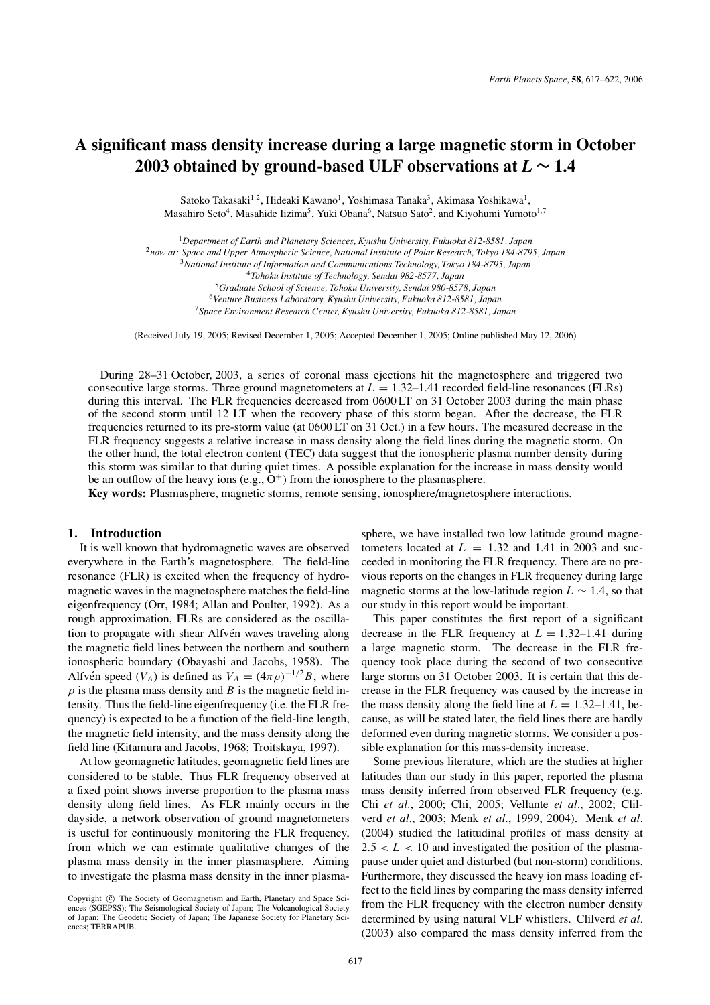# **A significant mass density increase during a large magnetic storm in October** 2003 obtained by ground-based ULF observations at  $L \sim 1.4$

Satoko Takasaki<sup>1,2</sup>, Hideaki Kawano<sup>1</sup>, Yoshimasa Tanaka<sup>3</sup>, Akimasa Yoshikawa<sup>1</sup>, Masahiro Seto<sup>4</sup>, Masahide Iizima<sup>5</sup>, Yuki Obana<sup>6</sup>, Natsuo Sato<sup>2</sup>, and Kiyohumi Yumoto<sup>1,7</sup>

<sup>1</sup>*Department of Earth and Planetary Sciences, Kyushu University, Fukuoka 812-8581, Japan*

<sup>2</sup>*now at: Space and Upper Atmospheric Science, National Institute of Polar Research, Tokyo 184-8795, Japan*

<sup>5</sup>*Graduate School of Science, Tohoku University, Sendai 980-8578, Japan*

<sup>6</sup>*Venture Business Laboratory, Kyushu University, Fukuoka 812-8581, Japan*

<sup>7</sup>*Space Environment Research Center, Kyushu University, Fukuoka 812-8581, Japan*

(Received July 19, 2005; Revised December 1, 2005; Accepted December 1, 2005; Online published May 12, 2006)

During 28–31 October, 2003, a series of coronal mass ejections hit the magnetosphere and triggered two consecutive large storms. Three ground magnetometers at  $L = 1.32{\text -}1.41$  recorded field-line resonances (FLRs) during this interval. The FLR frequencies decreased from 0600 LT on 31 October 2003 during the main phase of the second storm until 12 LT when the recovery phase of this storm began. After the decrease, the FLR frequencies returned to its pre-storm value (at 0600 LT on 31 Oct.) in a few hours. The measured decrease in the FLR frequency suggests a relative increase in mass density along the field lines during the magnetic storm. On the other hand, the total electron content (TEC) data suggest that the ionospheric plasma number density during this storm was similar to that during quiet times. A possible explanation for the increase in mass density would be an outflow of the heavy ions (e.g.,  $O^+$ ) from the ionosphere to the plasmasphere.

**Key words:** Plasmasphere, magnetic storms, remote sensing, ionosphere/magnetosphere interactions.

# **1. Introduction**

It is well known that hydromagnetic waves are observed everywhere in the Earth's magnetosphere. The field-line resonance (FLR) is excited when the frequency of hydromagnetic waves in the magnetosphere matches the field-line eigenfrequency (Orr, 1984; Allan and Poulter, 1992). As a rough approximation, FLRs are considered as the oscillation to propagate with shear Alfvén waves traveling along the magnetic field lines between the northern and southern ionospheric boundary (Obayashi and Jacobs, 1958). The Alfvén speed ( $V_A$ ) is defined as  $V_A = (4\pi \rho)^{-1/2}B$ , where  $\rho$  is the plasma mass density and *B* is the magnetic field intensity. Thus the field-line eigenfrequency (i.e. the FLR frequency) is expected to be a function of the field-line length, the magnetic field intensity, and the mass density along the field line (Kitamura and Jacobs, 1968; Troitskaya, 1997).

At low geomagnetic latitudes, geomagnetic field lines are considered to be stable. Thus FLR frequency observed at a fixed point shows inverse proportion to the plasma mass density along field lines. As FLR mainly occurs in the dayside, a network observation of ground magnetometers is useful for continuously monitoring the FLR frequency, from which we can estimate qualitative changes of the plasma mass density in the inner plasmasphere. Aiming to investigate the plasma mass density in the inner plasmasphere, we have installed two low latitude ground magnetometers located at  $L = 1.32$  and 1.41 in 2003 and succeeded in monitoring the FLR frequency. There are no previous reports on the changes in FLR frequency during large magnetic storms at the low-latitude region  $L \sim 1.4$ , so that our study in this report would be important.

This paper constitutes the first report of a significant decrease in the FLR frequency at  $L = 1.32{\text -}1.41$  during a large magnetic storm. The decrease in the FLR frequency took place during the second of two consecutive large storms on 31 October 2003. It is certain that this decrease in the FLR frequency was caused by the increase in the mass density along the field line at  $L = 1.32{\text -}1.41$ , because, as will be stated later, the field lines there are hardly deformed even during magnetic storms. We consider a possible explanation for this mass-density increase.

Some previous literature, which are the studies at higher latitudes than our study in this paper, reported the plasma mass density inferred from observed FLR frequency (e.g. Chi *et al.*, 2000; Chi, 2005; Vellante *et al.*, 2002; Clilverd *et al.*, 2003; Menk *et al.*, 1999, 2004). Menk *et al.* (2004) studied the latitudinal profiles of mass density at  $2.5 < L < 10$  and investigated the position of the plasmapause under quiet and disturbed (but non-storm) conditions. Furthermore, they discussed the heavy ion mass loading effect to the field lines by comparing the mass density inferred from the FLR frequency with the electron number density determined by using natural VLF whistlers. Clilverd *et al.* (2003) also compared the mass density inferred from the

<sup>3</sup>*National Institute of Information and Communications Technology, Tokyo 184-8795, Japan*

<sup>4</sup>*Tohoku Institute of Technology, Sendai 982-8577, Japan*

Copyright  $\odot$  The Society of Geomagnetism and Earth, Planetary and Space Sciences (SGEPSS); The Seismological Society of Japan; The Volcanological Society of Japan; The Geodetic Society of Japan; The Japanese Society for Planetary Sciences; TERRAPUB.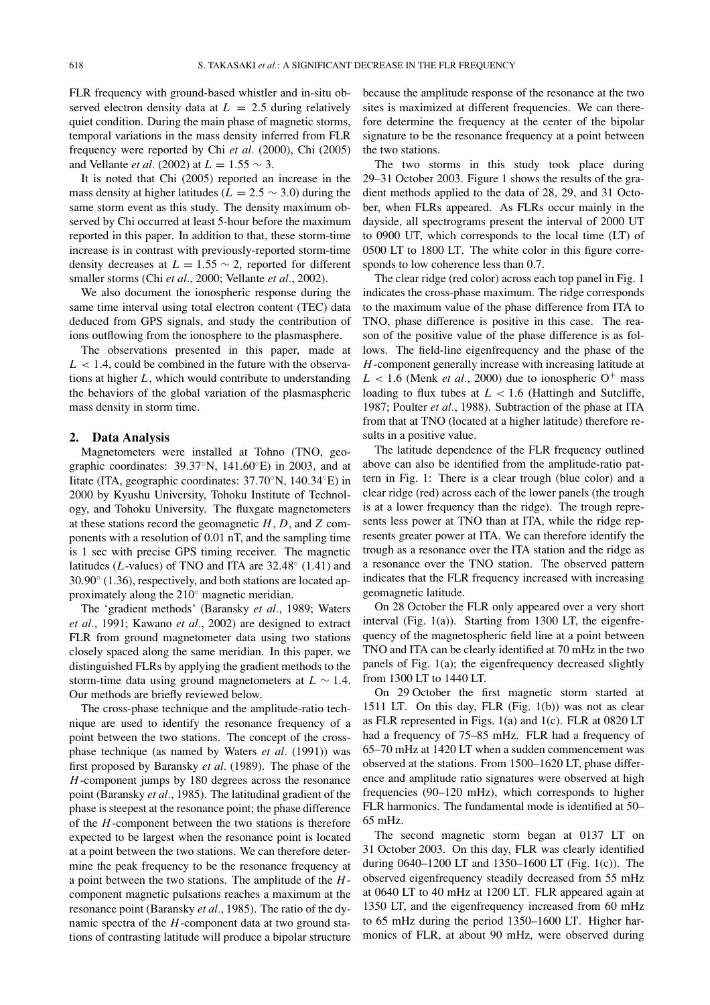FLR frequency with ground-based whistler and in-situ observed electron density data at  $L = 2.5$  during relatively quiet condition. During the main phase of magnetic storms, temporal variations in the mass density inferred from FLR frequency were reported by Chi *et al.* (2000), Chi (2005) and Vellante *et al.* (2002) at  $L = 1.55 \sim 3$ .

It is noted that Chi (2005) reported an increase in the mass density at higher latitudes ( $L = 2.5 \sim 3.0$ ) during the same storm event as this study. The density maximum observed by Chi occurred at least 5-hour before the maximum reported in this paper. In addition to that, these storm-time increase is in contrast with previously-reported storm-time density decreases at  $L = 1.55 \sim 2$ , reported for different smaller storms (Chi *et al.*, 2000; Vellante *et al.*, 2002).

We also document the ionospheric response during the same time interval using total electron content (TEC) data deduced from GPS signals, and study the contribution of ions outflowing from the ionosphere to the plasmasphere.

The observations presented in this paper, made at  $L < 1.4$ , could be combined in the future with the observations at higher *L*, which would contribute to understanding the behaviors of the global variation of the plasmaspheric mass density in storm time.

## **2. Data Analysis**

Magnetometers were installed at Tohno (TNO, geographic coordinates:  $39.37°N$ ,  $141.60°E$ ) in 2003, and at Iitate (ITA, geographic coordinates: 37.70◦N, 140.34◦E) in 2000 by Kyushu University, Tohoku Institute of Technology, and Tohoku University. The fluxgate magnetometers at these stations record the geomagnetic *H*, *D*, and *Z* components with a resolution of 0.01 nT, and the sampling time is 1 sec with precise GPS timing receiver. The magnetic latitudes (*L*-values) of TNO and ITA are 32.48◦ (1.41) and 30.90◦ (1.36), respectively, and both stations are located approximately along the 210◦ magnetic meridian.

The 'gradient methods' (Baransky *et al.*, 1989; Waters *et al.*, 1991; Kawano *et al.*, 2002) are designed to extract FLR from ground magnetometer data using two stations closely spaced along the same meridian. In this paper, we distinguished FLRs by applying the gradient methods to the storm-time data using ground magnetometers at *L* ∼ 1.4. Our methods are briefly reviewed below.

The cross-phase technique and the amplitude-ratio technique are used to identify the resonance frequency of a point between the two stations. The concept of the crossphase technique (as named by Waters *et al.* (1991)) was first proposed by Baransky *et al.* (1989). The phase of the *H*-component jumps by 180 degrees across the resonance point (Baransky *et al.*, 1985). The latitudinal gradient of the phase is steepest at the resonance point; the phase difference of the *H*-component between the two stations is therefore expected to be largest when the resonance point is located at a point between the two stations. We can therefore determine the peak frequency to be the resonance frequency at a point between the two stations. The amplitude of the *H*component magnetic pulsations reaches a maximum at the resonance point (Baransky *et al.*, 1985). The ratio of the dynamic spectra of the *H*-component data at two ground stations of contrasting latitude will produce a bipolar structure

because the amplitude response of the resonance at the two sites is maximized at different frequencies. We can therefore determine the frequency at the center of the bipolar signature to be the resonance frequency at a point between the two stations.

The two storms in this study took place during 29–31 October 2003. Figure 1 shows the results of the gradient methods applied to the data of 28, 29, and 31 October, when FLRs appeared. As FLRs occur mainly in the dayside, all spectrograms present the interval of 2000 UT to 0900 UT, which corresponds to the local time (LT) of 0500 LT to 1800 LT. The white color in this figure corresponds to low coherence less than 0.7.

The clear ridge (red color) across each top panel in Fig. 1 indicates the cross-phase maximum. The ridge corresponds to the maximum value of the phase difference from ITA to TNO, phase difference is positive in this case. The reason of the positive value of the phase difference is as follows. The field-line eigenfrequency and the phase of the *H*-component generally increase with increasing latitude at  $L < 1.6$  (Menk *et al.*, 2000) due to ionospheric O<sup>+</sup> mass loading to flux tubes at  $L < 1.6$  (Hattingh and Sutcliffe, 1987; Poulter *et al.*, 1988). Subtraction of the phase at ITA from that at TNO (located at a higher latitude) therefore results in a positive value.

The latitude dependence of the FLR frequency outlined above can also be identified from the amplitude-ratio pattern in Fig. 1: There is a clear trough (blue color) and a clear ridge (red) across each of the lower panels (the trough is at a lower frequency than the ridge). The trough represents less power at TNO than at ITA, while the ridge represents greater power at ITA. We can therefore identify the trough as a resonance over the ITA station and the ridge as a resonance over the TNO station. The observed pattern indicates that the FLR frequency increased with increasing geomagnetic latitude.

On 28 October the FLR only appeared over a very short interval (Fig. 1(a)). Starting from 1300 LT, the eigenfrequency of the magnetospheric field line at a point between TNO and ITA can be clearly identified at 70 mHz in the two panels of Fig. 1(a); the eigenfrequency decreased slightly from 1300 LT to 1440 LT.

On 29 October the first magnetic storm started at 1511 LT. On this day, FLR (Fig. 1(b)) was not as clear as FLR represented in Figs. 1(a) and 1(c). FLR at 0820 LT had a frequency of 75–85 mHz. FLR had a frequency of 65–70 mHz at 1420 LT when a sudden commencement was observed at the stations. From 1500–1620 LT, phase difference and amplitude ratio signatures were observed at high frequencies (90–120 mHz), which corresponds to higher FLR harmonics. The fundamental mode is identified at 50– 65 mHz.

The second magnetic storm began at 0137 LT on 31 October 2003. On this day, FLR was clearly identified during 0640–1200 LT and 1350–1600 LT (Fig. 1(c)). The observed eigenfrequency steadily decreased from 55 mHz at 0640 LT to 40 mHz at 1200 LT. FLR appeared again at 1350 LT, and the eigenfrequency increased from 60 mHz to 65 mHz during the period 1350–1600 LT. Higher harmonics of FLR, at about 90 mHz, were observed during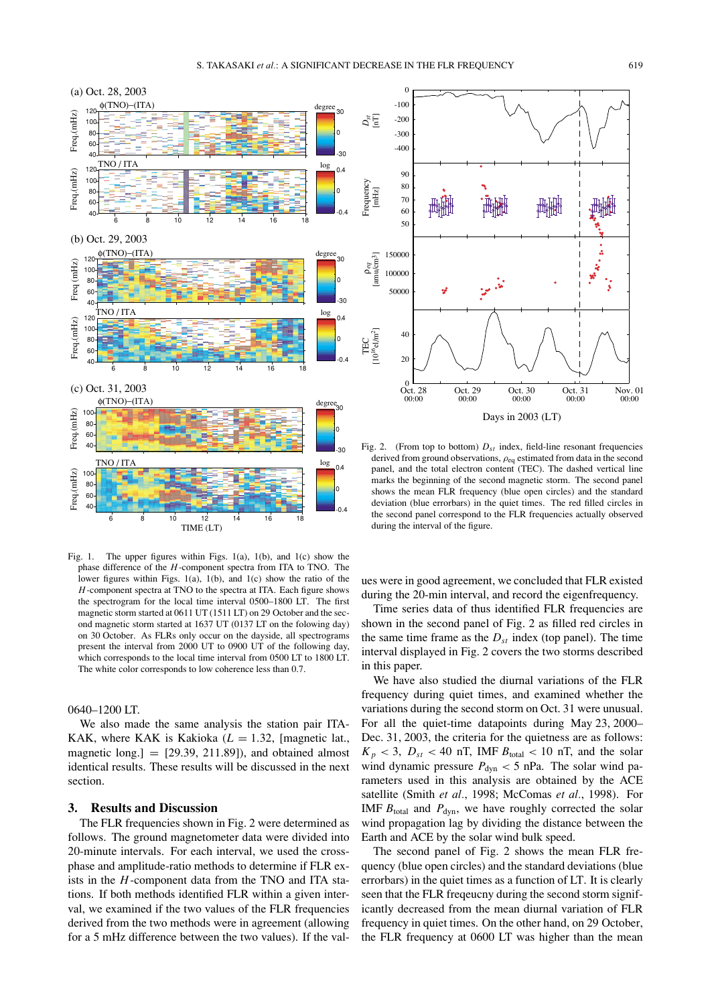

Fig. 1. The upper figures within Figs. 1(a), 1(b), and 1(c) show the phase difference of the *H*-component spectra from ITA to TNO. The lower figures within Figs.  $1(a)$ ,  $1(b)$ , and  $1(c)$  show the ratio of the *H*-component spectra at TNO to the spectra at ITA. Each figure shows the spectrogram for the local time interval 0500–1800 LT. The first magnetic storm started at 0611 UT (1511 LT) on 29 October and the second magnetic storm started at 1637 UT (0137 LT on the folowing day) on 30 October. As FLRs only occur on the dayside, all spectrograms present the interval from 2000 UT to 0900 UT of the following day, which corresponds to the local time interval from 0500 LT to 1800 LT. The white color corresponds to low coherence less than 0.7.

#### 0640–1200 LT.

We also made the same analysis the station pair ITA-KAK, where KAK is Kakioka  $(L = 1.32, \text{ [magnetic lat.},$ magnetic long. $] = [29.39, 211.89]$ , and obtained almost identical results. These results will be discussed in the next section.

## **3. Results and Discussion**

The FLR frequencies shown in Fig. 2 were determined as follows. The ground magnetometer data were divided into 20-minute intervals. For each interval, we used the crossphase and amplitude-ratio methods to determine if FLR exists in the *H*-component data from the TNO and ITA stations. If both methods identified FLR within a given interval, we examined if the two values of the FLR frequencies derived from the two methods were in agreement (allowing for a 5 mHz difference between the two values). If the val-



Fig. 2. (From top to bottom)  $D_{st}$  index, field-line resonant frequencies derived from ground observations,  $\rho_{\text{eq}}$  estimated from data in the second panel, and the total electron content (TEC). The dashed vertical line marks the beginning of the second magnetic storm. The second panel shows the mean FLR frequency (blue open circles) and the standard deviation (blue errorbars) in the quiet times. The red filled circles in the second panel correspond to the FLR frequencies actually observed during the interval of the figure.

ues were in good agreement, we concluded that FLR existed during the 20-min interval, and record the eigenfrequency.

Time series data of thus identified FLR frequencies are shown in the second panel of Fig. 2 as filled red circles in the same time frame as the  $D_{st}$  index (top panel). The time interval displayed in Fig. 2 covers the two storms described in this paper.

We have also studied the diurnal variations of the FLR frequency during quiet times, and examined whether the variations during the second storm on Oct. 31 were unusual. For all the quiet-time datapoints during May 23, 2000– Dec. 31, 2003, the criteria for the quietness are as follows:  $K_p$  < 3,  $D_{st}$  < 40 nT, IMF  $B_{total}$  < 10 nT, and the solar wind dynamic pressure  $P_{\text{dyn}} < 5$  nPa. The solar wind parameters used in this analysis are obtained by the ACE satellite (Smith *et al.*, 1998; McComas *et al.*, 1998). For IMF  $B_{\text{total}}$  and  $P_{\text{dyn}}$ , we have roughly corrected the solar wind propagation lag by dividing the distance between the Earth and ACE by the solar wind bulk speed.

The second panel of Fig. 2 shows the mean FLR frequency (blue open circles) and the standard deviations (blue errorbars) in the quiet times as a function of LT. It is clearly seen that the FLR freqeucny during the second storm significantly decreased from the mean diurnal variation of FLR frequency in quiet times. On the other hand, on 29 October, the FLR frequency at 0600 LT was higher than the mean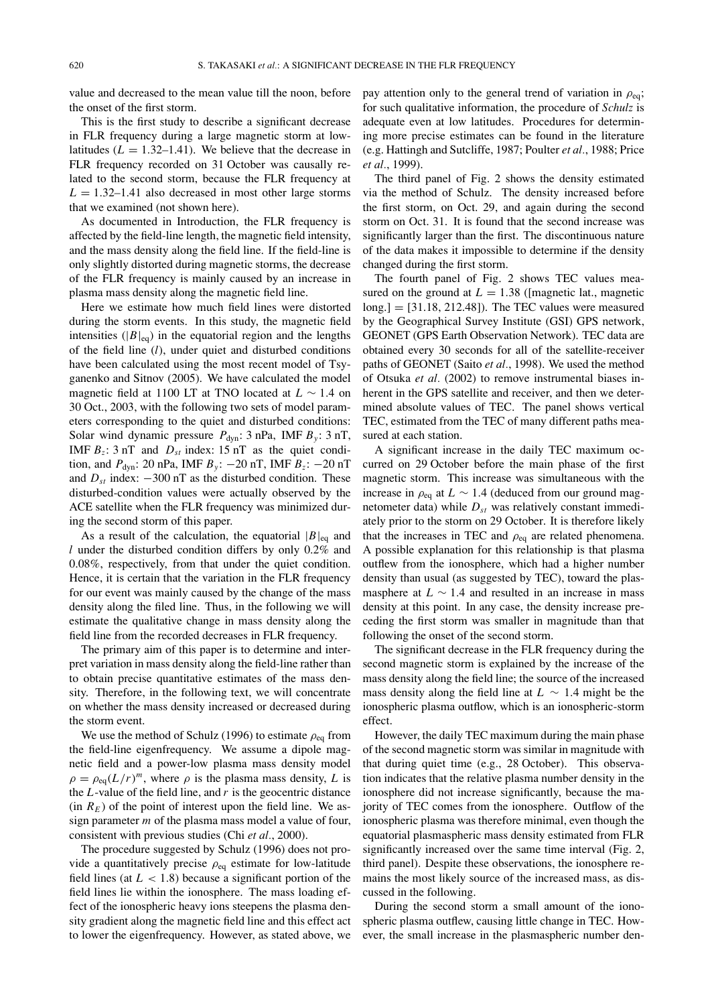value and decreased to the mean value till the noon, before the onset of the first storm.

This is the first study to describe a significant decrease in FLR frequency during a large magnetic storm at lowlatitudes  $(L = 1.32{\text -}1.41)$ . We believe that the decrease in FLR frequency recorded on 31 October was causally related to the second storm, because the FLR frequency at  $L = 1.32 - 1.41$  also decreased in most other large storms that we examined (not shown here).

As documented in Introduction, the FLR frequency is affected by the field-line length, the magnetic field intensity, and the mass density along the field line. If the field-line is only slightly distorted during magnetic storms, the decrease of the FLR frequency is mainly caused by an increase in plasma mass density along the magnetic field line.

Here we estimate how much field lines were distorted during the storm events. In this study, the magnetic field intensities ( $|B|_{eq}$ ) in the equatorial region and the lengths of the field line (*l*), under quiet and disturbed conditions have been calculated using the most recent model of Tsyganenko and Sitnov (2005). We have calculated the model magnetic field at 1100 LT at TNO located at *L* ∼ 1.4 on 30 Oct., 2003, with the following two sets of model parameters corresponding to the quiet and disturbed conditions: Solar wind dynamic pressure  $P_{dyn}$ : 3 nPa, IMF  $B_y$ : 3 nT, IMF  $B_z$ : 3 nT and  $D_{st}$  index: 15 nT as the quiet condition, and *P*<sub>dyn</sub>: 20 nPa, IMF *B<sub>y</sub>*: −20 nT, IMF *B<sub>z</sub>*: −20 nT and  $D_{st}$  index:  $-300$  nT as the disturbed condition. These disturbed-condition values were actually observed by the ACE satellite when the FLR frequency was minimized during the second storm of this paper.

As a result of the calculation, the equatorial  $|B|_{eq}$  and *l* under the disturbed condition differs by only 0.2% and 0.08%, respectively, from that under the quiet condition. Hence, it is certain that the variation in the FLR frequency for our event was mainly caused by the change of the mass density along the filed line. Thus, in the following we will estimate the qualitative change in mass density along the field line from the recorded decreases in FLR frequency.

The primary aim of this paper is to determine and interpret variation in mass density along the field-line rather than to obtain precise quantitative estimates of the mass density. Therefore, in the following text, we will concentrate on whether the mass density increased or decreased during the storm event.

We use the method of Schulz (1996) to estimate  $\rho_{eq}$  from the field-line eigenfrequency. We assume a dipole magnetic field and a power-low plasma mass density model  $\rho = \rho_{eq}(L/r)^m$ , where  $\rho$  is the plasma mass density, *L* is the *L*-value of the field line, and *r* is the geocentric distance  $(in R<sub>E</sub>)$  of the point of interest upon the field line. We assign parameter *m* of the plasma mass model a value of four, consistent with previous studies (Chi *et al.*, 2000).

The procedure suggested by Schulz (1996) does not provide a quantitatively precise  $\rho_{\text{eq}}$  estimate for low-latitude field lines (at  $L < 1.8$ ) because a significant portion of the field lines lie within the ionosphere. The mass loading effect of the ionospheric heavy ions steepens the plasma density gradient along the magnetic field line and this effect act to lower the eigenfrequency. However, as stated above, we

pay attention only to the general trend of variation in  $\rho_{eq}$ ; for such qualitative information, the procedure of *Schulz* is adequate even at low latitudes. Procedures for determining more precise estimates can be found in the literature (e.g. Hattingh and Sutcliffe, 1987; Poulter *et al.*, 1988; Price *et al.*, 1999).

The third panel of Fig. 2 shows the density estimated via the method of Schulz. The density increased before the first storm, on Oct. 29, and again during the second storm on Oct. 31. It is found that the second increase was significantly larger than the first. The discontinuous nature of the data makes it impossible to determine if the density changed during the first storm.

The fourth panel of Fig. 2 shows TEC values measured on the ground at  $L = 1.38$  ([magnetic lat., magnetic long.] = [31.18, 212.48]). The TEC values were measured by the Geographical Survey Institute (GSI) GPS network, GEONET (GPS Earth Observation Network). TEC data are obtained every 30 seconds for all of the satellite-receiver paths of GEONET (Saito *et al.*, 1998). We used the method of Otsuka *et al.* (2002) to remove instrumental biases inherent in the GPS satellite and receiver, and then we determined absolute values of TEC. The panel shows vertical TEC, estimated from the TEC of many different paths measured at each station.

A significant increase in the daily TEC maximum occurred on 29 October before the main phase of the first magnetic storm. This increase was simultaneous with the increase in  $\rho_{\text{eq}}$  at  $L \sim 1.4$  (deduced from our ground magnetometer data) while  $D_{st}$  was relatively constant immediately prior to the storm on 29 October. It is therefore likely that the increases in TEC and  $\rho_{\text{eq}}$  are related phenomena. A possible explanation for this relationship is that plasma outflew from the ionosphere, which had a higher number density than usual (as suggested by TEC), toward the plasmasphere at  $L \sim 1.4$  and resulted in an increase in mass density at this point. In any case, the density increase preceding the first storm was smaller in magnitude than that following the onset of the second storm.

The significant decrease in the FLR frequency during the second magnetic storm is explained by the increase of the mass density along the field line; the source of the increased mass density along the field line at *L* ∼ 1.4 might be the ionospheric plasma outflow, which is an ionospheric-storm effect.

However, the daily TEC maximum during the main phase of the second magnetic storm was similar in magnitude with that during quiet time (e.g., 28 October). This observation indicates that the relative plasma number density in the ionosphere did not increase significantly, because the majority of TEC comes from the ionosphere. Outflow of the ionospheric plasma was therefore minimal, even though the equatorial plasmaspheric mass density estimated from FLR significantly increased over the same time interval (Fig. 2, third panel). Despite these observations, the ionosphere remains the most likely source of the increased mass, as discussed in the following.

During the second storm a small amount of the ionospheric plasma outflew, causing little change in TEC. However, the small increase in the plasmaspheric number den-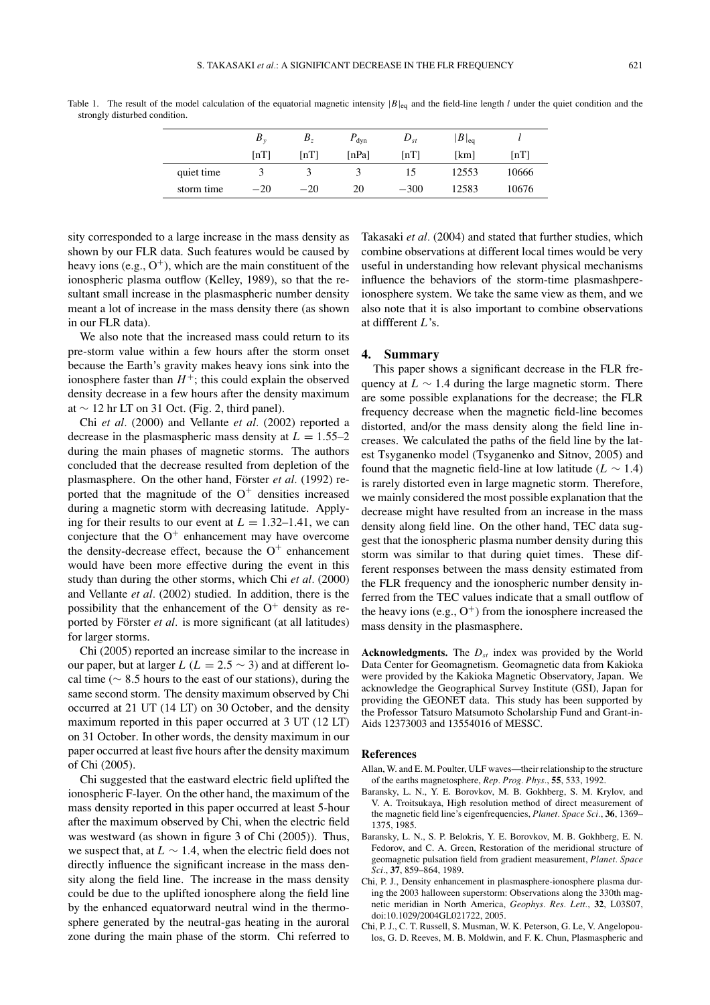|            | $B_{\nu}$          | $B_z$              | $P_{\text{dyn}}$ | $D_{st}$           | $ B _{\text{eq}}$ |                    |
|------------|--------------------|--------------------|------------------|--------------------|-------------------|--------------------|
|            | $\lceil nT \rceil$ | $\lceil nT \rceil$ | [nPa]            | $\lceil nT \rceil$ | [km]              | $\lceil nT \rceil$ |
| quiet time |                    |                    |                  |                    | 12553             | 10666              |
| storm time | $-20$              | $-20$              | 20               | $-300$             | 12583             | 10676              |

Table 1. The result of the model calculation of the equatorial magnetic intensity  $|B|_{eq}$  and the field-line length *l* under the quiet condition and the strongly disturbed condition.

sity corresponded to a large increase in the mass density as shown by our FLR data. Such features would be caused by heavy ions (e.g.,  $O^+$ ), which are the main constituent of the ionospheric plasma outflow (Kelley, 1989), so that the resultant small increase in the plasmaspheric number density meant a lot of increase in the mass density there (as shown in our FLR data).

We also note that the increased mass could return to its pre-storm value within a few hours after the storm onset because the Earth's gravity makes heavy ions sink into the ionosphere faster than  $H^+$ ; this could explain the observed density decrease in a few hours after the density maximum at ∼ 12 hr LT on 31 Oct. (Fig. 2, third panel).

Chi *et al.* (2000) and Vellante *et al.* (2002) reported a decrease in the plasmaspheric mass density at  $L = 1.55-2$ during the main phases of magnetic storms. The authors concluded that the decrease resulted from depletion of the plasmasphere. On the other hand, Förster et al. (1992) reported that the magnitude of the  $O<sup>+</sup>$  densities increased during a magnetic storm with decreasing latitude. Applying for their results to our event at  $L = 1.32{\text -}1.41$ , we can conjecture that the  $O^+$  enhancement may have overcome the density-decrease effect, because the  $O^+$  enhancement would have been more effective during the event in this study than during the other storms, which Chi *et al.* (2000) and Vellante *et al.* (2002) studied. In addition, there is the possibility that the enhancement of the  $O^+$  density as reported by Förster et al. is more significant (at all latitudes) for larger storms.

Chi (2005) reported an increase similar to the increase in our paper, but at larger *L* ( $L = 2.5 \sim 3$ ) and at different local time ( $\sim$  8.5 hours to the east of our stations), during the same second storm. The density maximum observed by Chi occurred at 21 UT (14 LT) on 30 October, and the density maximum reported in this paper occurred at 3 UT (12 LT) on 31 October. In other words, the density maximum in our paper occurred at least five hours after the density maximum of Chi (2005).

Chi suggested that the eastward electric field uplifted the ionospheric F-layer. On the other hand, the maximum of the mass density reported in this paper occurred at least 5-hour after the maximum observed by Chi, when the electric field was westward (as shown in figure 3 of Chi (2005)). Thus, we suspect that, at *L* ∼ 1.4, when the electric field does not directly influence the significant increase in the mass density along the field line. The increase in the mass density could be due to the uplifted ionosphere along the field line by the enhanced equatorward neutral wind in the thermosphere generated by the neutral-gas heating in the auroral zone during the main phase of the storm. Chi referred to Takasaki *et al.* (2004) and stated that further studies, which combine observations at different local times would be very useful in understanding how relevant physical mechanisms influence the behaviors of the storm-time plasmashpereionosphere system. We take the same view as them, and we also note that it is also important to combine observations at diffferent *L*'s.

#### **4. Summary**

This paper shows a significant decrease in the FLR frequency at *L* ∼ 1.4 during the large magnetic storm. There are some possible explanations for the decrease; the FLR frequency decrease when the magnetic field-line becomes distorted, and/or the mass density along the field line increases. We calculated the paths of the field line by the latest Tsyganenko model (Tsyganenko and Sitnov, 2005) and found that the magnetic field-line at low latitude ( $L \sim 1.4$ ) is rarely distorted even in large magnetic storm. Therefore, we mainly considered the most possible explanation that the decrease might have resulted from an increase in the mass density along field line. On the other hand, TEC data suggest that the ionospheric plasma number density during this storm was similar to that during quiet times. These different responses between the mass density estimated from the FLR frequency and the ionospheric number density inferred from the TEC values indicate that a small outflow of the heavy ions (e.g.,  $O^+$ ) from the ionosphere increased the mass density in the plasmasphere.

**Acknowledgments.** The  $D_{st}$  index was provided by the World Data Center for Geomagnetism. Geomagnetic data from Kakioka were provided by the Kakioka Magnetic Observatory, Japan. We acknowledge the Geographical Survey Institute (GSI), Japan for providing the GEONET data. This study has been supported by the Professor Tatsuro Matsumoto Scholarship Fund and Grant-in-Aids 12373003 and 13554016 of MESSC.

## **References**

- Allan, W. and E. M. Poulter, ULF waves—their relationship to the structure of the earths magnetosphere, *Rep. Prog. Phys.*, **55**, 533, 1992.
- Baransky, L. N., Y. E. Borovkov, M. B. Gokhberg, S. M. Krylov, and V. A. Troitsukaya, High resolution method of direct measurement of the magnetic field line's eigenfrequencies, *Planet. Space Sci.*, **36**, 1369– 1375, 1985.
- Baransky, L. N., S. P. Belokris, Y. E. Borovkov, M. B. Gokhberg, E. N. Fedorov, and C. A. Green, Restoration of the meridional structure of geomagnetic pulsation field from gradient measurement, *Planet. Space Sci.*, **37**, 859–864, 1989.
- Chi, P. J., Density enhancement in plasmasphere-ionosphere plasma during the 2003 halloween superstorm: Observations along the 330th magnetic meridian in North America, *Geophys. Res. Lett.*, **32**, L03S07, doi:10.1029/2004GL021722, 2005.
- Chi, P. J., C. T. Russell, S. Musman, W. K. Peterson, G. Le, V. Angelopoulos, G. D. Reeves, M. B. Moldwin, and F. K. Chun, Plasmaspheric and